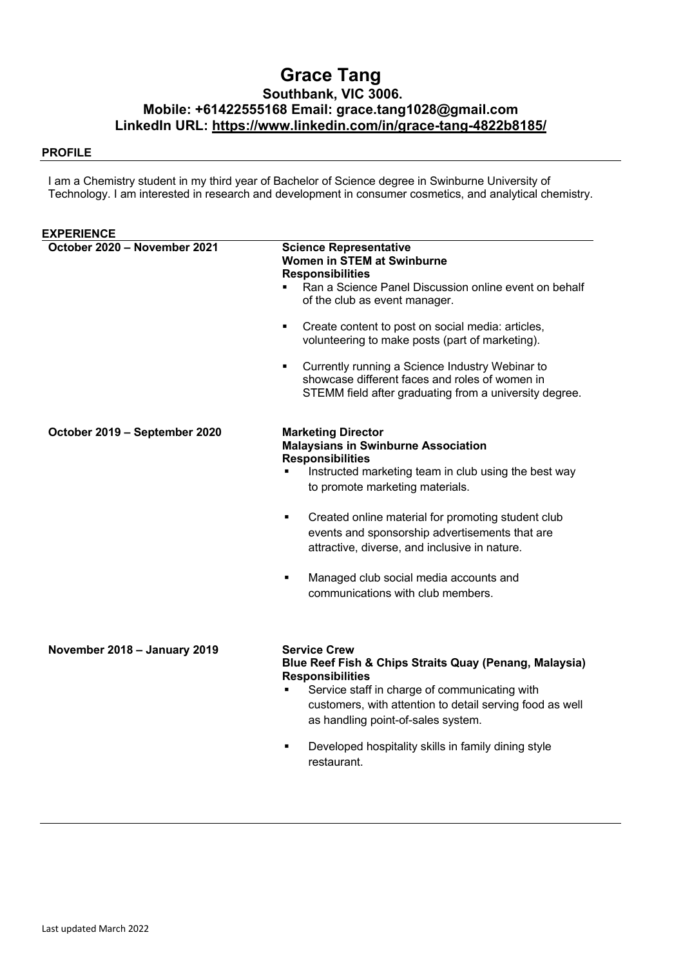# **Grace Tang Southbank, VIC 3006. Mobile: +61422555168 Email: grace.tang1028@gmail.com LinkedIn URL: https://www.linkedin.com/in/grace-tang-4822b8185/**

#### **PROFILE**

I am a Chemistry student in my third year of Bachelor of Science degree in Swinburne University of Technology. I am interested in research and development in consumer cosmetics, and analytical chemistry.

| <b>EXPERIENCE</b>             |                                                                                                                                                                                                                                                                                                                                                                                                                                                                     |
|-------------------------------|---------------------------------------------------------------------------------------------------------------------------------------------------------------------------------------------------------------------------------------------------------------------------------------------------------------------------------------------------------------------------------------------------------------------------------------------------------------------|
| October 2020 - November 2021  | <b>Science Representative</b><br><b>Women in STEM at Swinburne</b><br><b>Responsibilities</b><br>Ran a Science Panel Discussion online event on behalf<br>of the club as event manager.<br>Create content to post on social media: articles,<br>٠<br>volunteering to make posts (part of marketing).<br>Currently running a Science Industry Webinar to<br>showcase different faces and roles of women in<br>STEMM field after graduating from a university degree. |
| October 2019 - September 2020 | <b>Marketing Director</b><br><b>Malaysians in Swinburne Association</b><br><b>Responsibilities</b><br>Instructed marketing team in club using the best way<br>to promote marketing materials.<br>Created online material for promoting student club<br>٠<br>events and sponsorship advertisements that are<br>attractive, diverse, and inclusive in nature.<br>Managed club social media accounts and<br>٠<br>communications with club members.                     |
| November 2018 - January 2019  | <b>Service Crew</b><br>Blue Reef Fish & Chips Straits Quay (Penang, Malaysia)<br><b>Responsibilities</b><br>Service staff in charge of communicating with<br>٠<br>customers, with attention to detail serving food as well<br>as handling point-of-sales system.<br>Developed hospitality skills in family dining style<br>٠<br>restaurant.                                                                                                                         |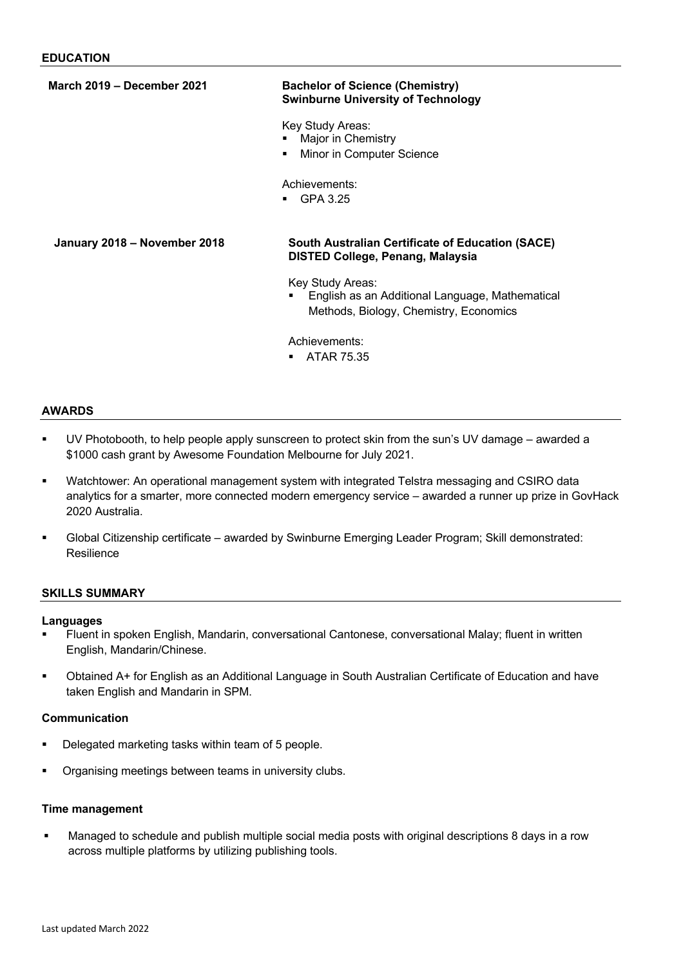| <b>March 2019 - December 2021</b> | <b>Bachelor of Science (Chemistry)</b><br><b>Swinburne University of Technology</b>                           |
|-----------------------------------|---------------------------------------------------------------------------------------------------------------|
|                                   | Key Study Areas:<br>Major in Chemistry<br>Minor in Computer Science<br>٠                                      |
|                                   | Achievements:<br>GPA 3.25                                                                                     |
| January 2018 - November 2018      | South Australian Certificate of Education (SACE)<br><b>DISTED College, Penang, Malaysia</b>                   |
|                                   | Key Study Areas:<br>English as an Additional Language, Mathematical<br>Methods, Biology, Chemistry, Economics |
|                                   | Achievements:<br>ATAR 75.35                                                                                   |

#### **AWARDS**

- UV Photobooth, to help people apply sunscreen to protect skin from the sun's UV damage awarded a \$1000 cash grant by Awesome Foundation Melbourne for July 2021.
- § Watchtower: An operational management system with integrated Telstra messaging and CSIRO data analytics for a smarter, more connected modern emergency service – awarded a runner up prize in GovHack 2020 Australia.
- § Global Citizenship certificate awarded by Swinburne Emerging Leader Program; Skill demonstrated: **Resilience**

#### **SKILLS SUMMARY**

#### **Languages**

- § Fluent in spoken English, Mandarin, conversational Cantonese, conversational Malay; fluent in written English, Mandarin/Chinese.
- § Obtained A+ for English as an Additional Language in South Australian Certificate of Education and have taken English and Mandarin in SPM.

#### **Communication**

- Delegated marketing tasks within team of 5 people.
- § Organising meetings between teams in university clubs.

### **Time management**

Managed to schedule and publish multiple social media posts with original descriptions 8 days in a row across multiple platforms by utilizing publishing tools.